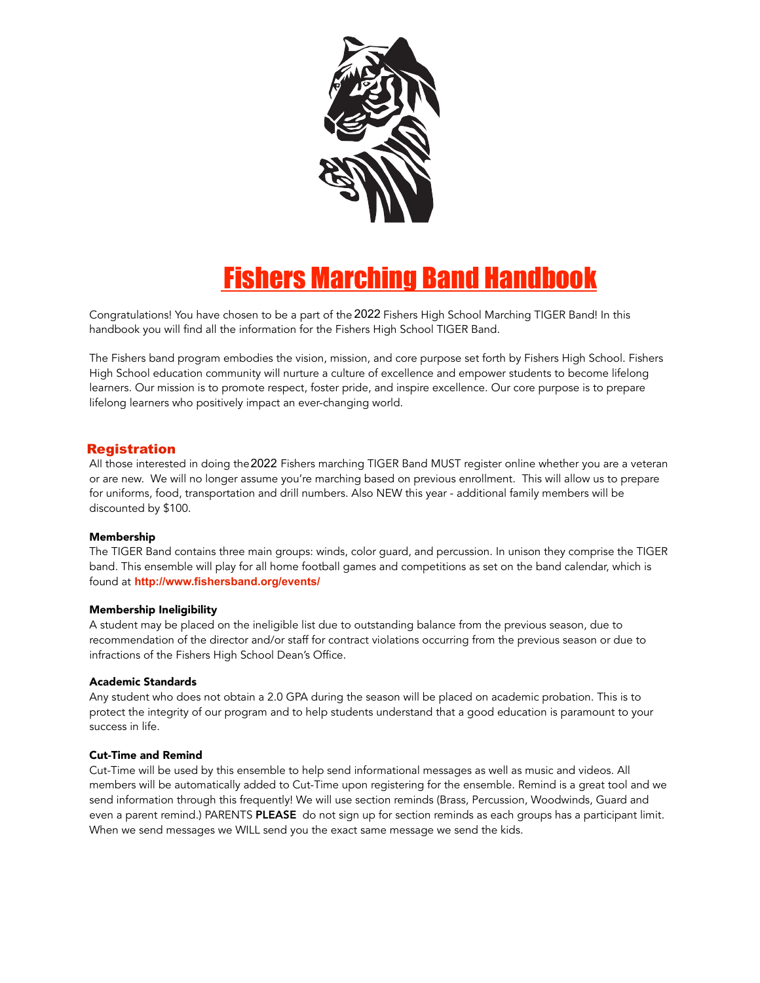

# **Fishers Marching Band Handbook**

Congratulations! You have chosen to be a part of the 2022 Fishers High School Marching TIGER Band! In this handbook you will find all the information for the Fishers High School TIGER Band.

The Fishers band program embodies the vision, mission, and core purpose set forth by Fishers High School. Fishers High School education community will nurture a culture of excellence and empower students to become lifelong learners. Our mission is to promote respect, foster pride, and inspire excellence. Our core purpose is to prepare lifelong learners who positively impact an ever-changing world.

# Registration **Registration**

All those interested in doing the 2022 Fishers marching TIGER Band MUST register online whether you are a veteran or are new. We will no longer assume you're marching based on previous enrollment. This will allow us to prepare for uniforms, food, transportation and drill numbers. Also NEW this year - additional family members will be discounted by \$100.

# Membership

The TIGER Band contains three main groups: winds, color guard, and percussion. In unison they comprise the TIGER band. This ensemble will play for all home football games and competitions as set on the band calendar, which is found at http://www.fishersband.org/events/

## Membership Ineligibility

A student may be placed on the ineligible list due to outstanding balance from the previous season, due to recommendation of the director and/or staff for contract violations occurring from the previous season or due to infractions of the Fishers High School Dean's Office.

## Academic Standards

Any student who does not obtain a 2.0 GPA during the season will be placed on academic probation. This is to protect the integrity of our program and to help students understand that a good education is paramount to your success in life.

# Cut-Time and Remind

Cut-Time will be used by this ensemble to help send informational messages as well as music and videos. All members will be automatically added to Cut-Time upon registering for the ensemble. Remind is a great tool and we send information through this frequently! We will use section reminds (Brass, Percussion, Woodwinds, Guard and even a parent remind.) PARENTS PLEASE do not sign up for section reminds as each groups has a participant limit. When we send messages we WILL send you the exact same message we send the kids.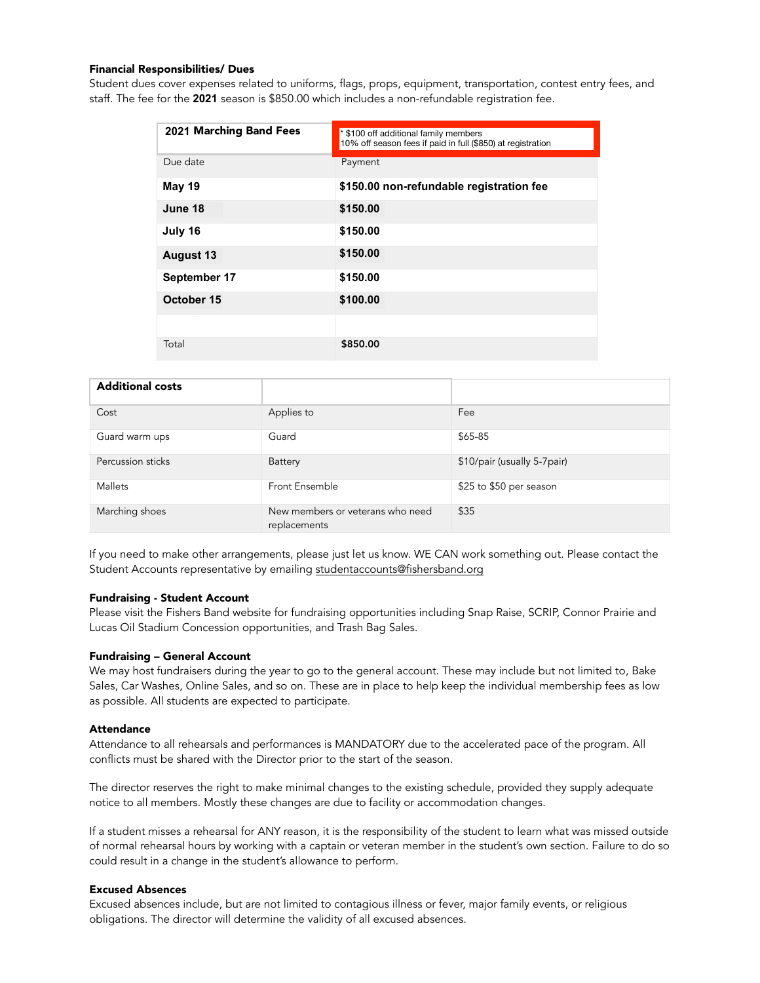## Financial Responsibilities/ Dues

Student dues cover expenses related to uniforms, flags, props, equipment, transportation, contest entry fees, and staff. The fee for the 2021 season is \$850.00 which includes a non-refundable registration fee.

| 2021 Marching Band Fees | * \$100 off additional family members<br>10% off season fees if paid in full (\$850) at registration |  |
|-------------------------|------------------------------------------------------------------------------------------------------|--|
| Due date                | Payment                                                                                              |  |
| <b>May 19</b>           | \$150.00 non-refundable registration fee                                                             |  |
| June 18                 | \$150.00                                                                                             |  |
| July 16                 | \$150.00                                                                                             |  |
| <b>August 13</b>        | \$150.00                                                                                             |  |
| September 17            | \$150.00                                                                                             |  |
| October 15              | \$100.00                                                                                             |  |
|                         |                                                                                                      |  |
| Total                   | \$850.00                                                                                             |  |

| <b>Additional costs</b> |                                                  |                             |
|-------------------------|--------------------------------------------------|-----------------------------|
| Cost                    | Applies to                                       | Fee                         |
| Guard warm ups          | Guard                                            | \$65-85                     |
| Percussion sticks       | <b>Battery</b>                                   | \$10/pair (usually 5-7pair) |
| Mallets                 | Front Ensemble                                   | \$25 to \$50 per season     |
| Marching shoes          | New members or veterans who need<br>replacements | \$35                        |

If you need to make other arrangements, please just let us know. WE CAN work something out. Please contact the Student Accounts representative by emailing [studentaccounts@fishersband.org](mailto:studentaccounts@fishersband.org) 

#### Fundraising - Student Account

Please visit the Fishers Band website for fundraising opportunities including Snap Raise, SCRIP, Connor Prairie and Lucas Oil Stadium Concession opportunities, and Trash Bag Sales.

#### Fundraising – General Account

We may host fundraisers during the year to go to the general account. These may include but not limited to, Bake Sales, Car Washes, Online Sales, and so on. These are in place to help keep the individual membership fees as low as possible. All students are expected to participate.

#### Attendance

Attendance to all rehearsals and performances is MANDATORY due to the accelerated pace of the program. All conflicts must be shared with the Director prior to the start of the season.

The director reserves the right to make minimal changes to the existing schedule, provided they supply adequate notice to all members. Mostly these changes are due to facility or accommodation changes.

If a student misses a rehearsal for ANY reason, it is the responsibility of the student to learn what was missed outside of normal rehearsal hours by working with a captain or veteran member in the student's own section. Failure to do so could result in a change in the student's allowance to perform.

# Excused Absences

Excused absences include, but are not limited to contagious illness or fever, major family events, or religious obligations. The director will determine the validity of all excused absences.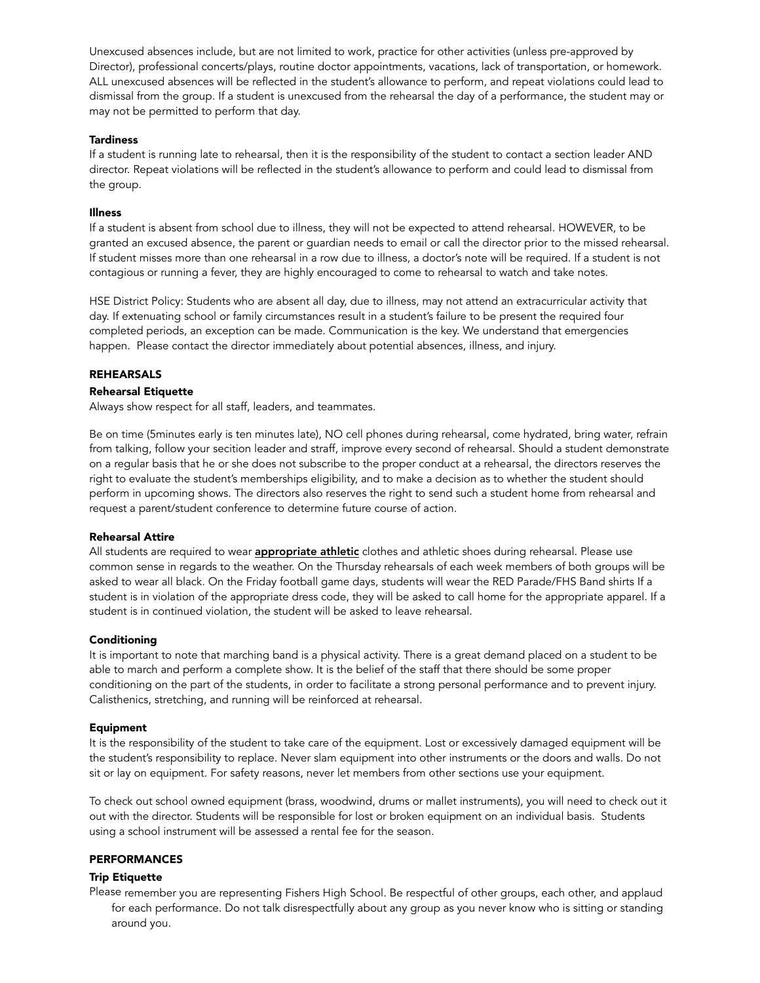Unexcused absences include, but are not limited to work, practice for other activities (unless pre-approved by Director), professional concerts/plays, routine doctor appointments, vacations, lack of transportation, or homework. ALL unexcused absences will be reflected in the student's allowance to perform, and repeat violations could lead to dismissal from the group. If a student is unexcused from the rehearsal the day of a performance, the student may or may not be permitted to perform that day.

## **Tardiness**

If a student is running late to rehearsal, then it is the responsibility of the student to contact a section leader AND director. Repeat violations will be reflected in the student's allowance to perform and could lead to dismissal from the group.

# Illness

If a student is absent from school due to illness, they will not be expected to attend rehearsal. HOWEVER, to be granted an excused absence, the parent or guardian needs to email or call the director prior to the missed rehearsal. If student misses more than one rehearsal in a row due to illness, a doctor's note will be required. If a student is not contagious or running a fever, they are highly encouraged to come to rehearsal to watch and take notes.

HSE District Policy: Students who are absent all day, due to illness, may not attend an extracurricular activity that day. If extenuating school or family circumstances result in a student's failure to be present the required four completed periods, an exception can be made. Communication is the key. We understand that emergencies happen. Please contact the director immediately about potential absences, illness, and injury.

## **REHEARSALS**

## Rehearsal Etiquette

Always show respect for all staff, leaders, and teammates.

Be on time (5minutes early is ten minutes late), NO cell phones during rehearsal, come hydrated, bring water, refrain from talking, follow your secition leader and straff, improve every second of rehearsal. Should a student demonstrate on a regular basis that he or she does not subscribe to the proper conduct at a rehearsal, the directors reserves the right to evaluate the student's memberships eligibility, and to make a decision as to whether the student should perform in upcoming shows. The directors also reserves the right to send such a student home from rehearsal and request a parent/student conference to determine future course of action.

## Rehearsal Attire

All students are required to wear **appropriate athletic** clothes and athletic shoes during rehearsal. Please use common sense in regards to the weather. On the Thursday rehearsals of each week members of both groups will be asked to wear all black. On the Friday football game days, students will wear the RED Parade/FHS Band shirts If a student is in violation of the appropriate dress code, they will be asked to call home for the appropriate apparel. If a student is in continued violation, the student will be asked to leave rehearsal.

## Conditioning

It is important to note that marching band is a physical activity. There is a great demand placed on a student to be able to march and perform a complete show. It is the belief of the staff that there should be some proper conditioning on the part of the students, in order to facilitate a strong personal performance and to prevent injury. Calisthenics, stretching, and running will be reinforced at rehearsal.

## Equipment

It is the responsibility of the student to take care of the equipment. Lost or excessively damaged equipment will be the student's responsibility to replace. Never slam equipment into other instruments or the doors and walls. Do not sit or lay on equipment. For safety reasons, never let members from other sections use your equipment.

To check out school owned equipment (brass, woodwind, drums or mallet instruments), you will need to check out it out with the director. Students will be responsible for lost or broken equipment on an individual basis. Students using a school instrument will be assessed a rental fee for the season.

# PERFORMANCES

## Trip Etiquette

Please remember you are representing Fishers High School. Be respectful of other groups, each other, and applaud for each performance. Do not talk disrespectfully about any group as you never know who is sitting or standing around you.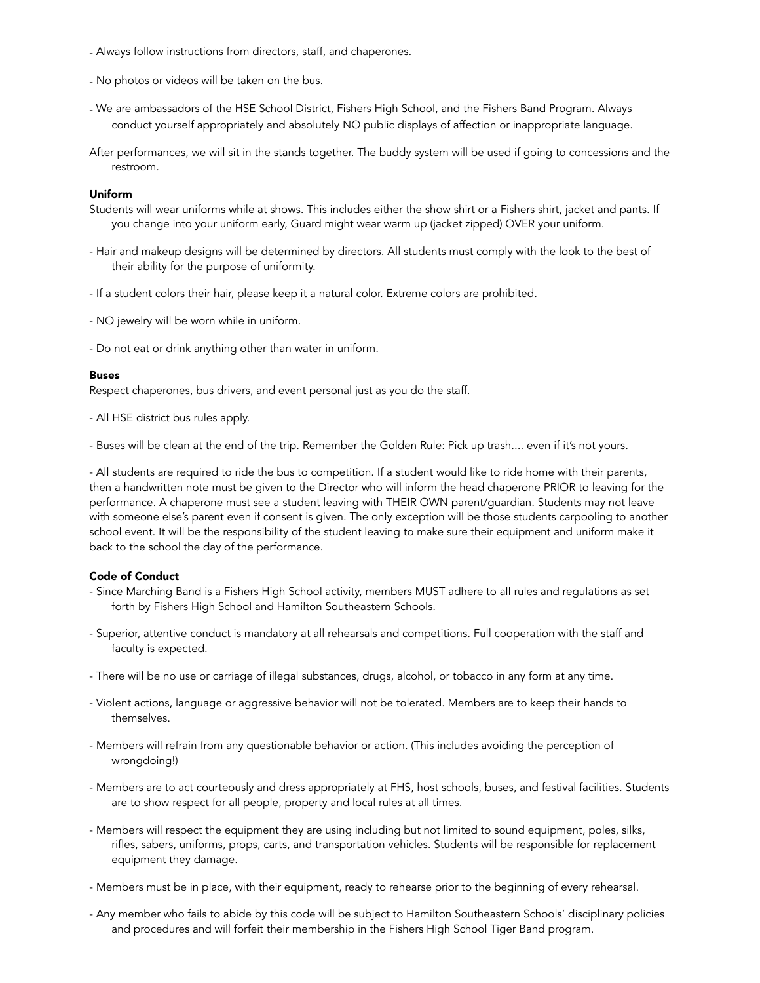- Always follow instructions from directors, staff, and chaperones.
- No photos or videos will be taken on the bus.
- We are ambassadors of the HSE School District, Fishers High School, and the Fishers Band Program. Always conduct yourself appropriately and absolutely NO public displays of affection or inappropriate language.
- After performances, we will sit in the stands together. The buddy system will be used if going to concessions and the restroom.

#### Uniform

- Students will wear uniforms while at shows. This includes either the show shirt or a Fishers shirt, jacket and pants. If you change into your uniform early, Guard might wear warm up (jacket zipped) OVER your uniform.
- Hair and makeup designs will be determined by directors. All students must comply with the look to the best of their ability for the purpose of uniformity.
- If a student colors their hair, please keep it a natural color. Extreme colors are prohibited.
- NO jewelry will be worn while in uniform.
- Do not eat or drink anything other than water in uniform.

## Buses

Respect chaperones, bus drivers, and event personal just as you do the staff.

- All HSE district bus rules apply.

- Buses will be clean at the end of the trip. Remember the Golden Rule: Pick up trash.... even if it's not yours.

- All students are required to ride the bus to competition. If a student would like to ride home with their parents, then a handwritten note must be given to the Director who will inform the head chaperone PRIOR to leaving for the performance. A chaperone must see a student leaving with THEIR OWN parent/guardian. Students may not leave with someone else's parent even if consent is given. The only exception will be those students carpooling to another school event. It will be the responsibility of the student leaving to make sure their equipment and uniform make it back to the school the day of the performance.

#### Code of Conduct

- Since Marching Band is a Fishers High School activity, members MUST adhere to all rules and regulations as set forth by Fishers High School and Hamilton Southeastern Schools.
- Superior, attentive conduct is mandatory at all rehearsals and competitions. Full cooperation with the staff and faculty is expected.
- There will be no use or carriage of illegal substances, drugs, alcohol, or tobacco in any form at any time.
- Violent actions, language or aggressive behavior will not be tolerated. Members are to keep their hands to themselves.
- Members will refrain from any questionable behavior or action. (This includes avoiding the perception of wrongdoing!)
- Members are to act courteously and dress appropriately at FHS, host schools, buses, and festival facilities. Students are to show respect for all people, property and local rules at all times.
- Members will respect the equipment they are using including but not limited to sound equipment, poles, silks, rifles, sabers, uniforms, props, carts, and transportation vehicles. Students will be responsible for replacement equipment they damage.
- Members must be in place, with their equipment, ready to rehearse prior to the beginning of every rehearsal.
- Any member who fails to abide by this code will be subject to Hamilton Southeastern Schools' disciplinary policies and procedures and will forfeit their membership in the Fishers High School Tiger Band program.